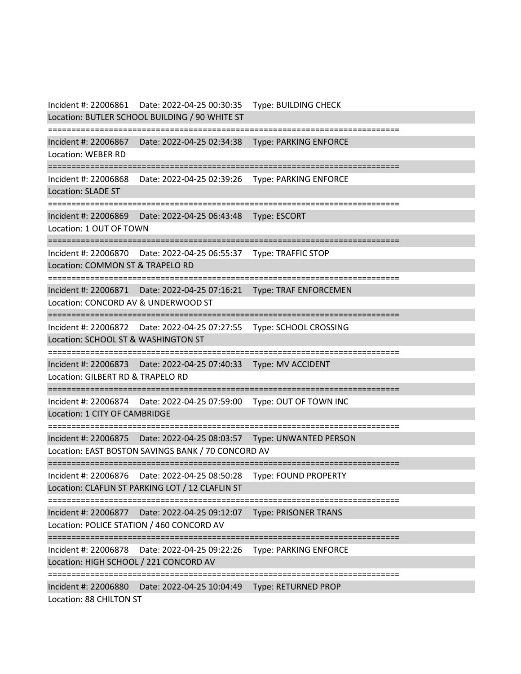Incident #: 22006861 Date: 2022-04-25 00:30:35 Type: BUILDING CHECK Location: BUTLER SCHOOL BUILDING / 90 WHITE ST =========================================================================== Incident #: 22006867 Date: 2022-04-25 02:34:38 Type: PARKING ENFORCE Location: WEBER RD =========================================================================== Incident #: 22006868 Date: 2022-04-25 02:39:26 Type: PARKING ENFORCE Location: SLADE ST =========================================================================== Incident #: 22006869 Date: 2022-04-25 06:43:48 Type: ESCORT Location: 1 OUT OF TOWN =========================================================================== Incident #: 22006870 Date: 2022-04-25 06:55:37 Type: TRAFFIC STOP Location: COMMON ST & TRAPELO RD =========================================================================== Incident #: 22006871 Date: 2022-04-25 07:16:21 Type: TRAF ENFORCEMEN Location: CONCORD AV & UNDERWOOD ST =========================================================================== Incident #: 22006872 Date: 2022-04-25 07:27:55 Type: SCHOOL CROSSING Location: SCHOOL ST & WASHINGTON ST =========================================================================== Incident #: 22006873 Date: 2022-04-25 07:40:33 Type: MV ACCIDENT Location: GILBERT RD & TRAPELO RD =========================================================================== Incident #: 22006874 Date: 2022-04-25 07:59:00 Type: OUT OF TOWN INC Location: 1 CITY OF CAMBRIDGE =========================================================================== Incident #: 22006875 Date: 2022-04-25 08:03:57 Type: UNWANTED PERSON Location: EAST BOSTON SAVINGS BANK / 70 CONCORD AV =========================================================================== Incident #: 22006876 Date: 2022-04-25 08:50:28 Type: FOUND PROPERTY Location: CLAFLIN ST PARKING LOT / 12 CLAFLIN ST =========================================================================== Incident #: 22006877 Date: 2022-04-25 09:12:07 Type: PRISONER TRANS Location: POLICE STATION / 460 CONCORD AV =========================================================================== Incident #: 22006878 Date: 2022-04-25 09:22:26 Type: PARKING ENFORCE Location: HIGH SCHOOL / 221 CONCORD AV =========================================================================== Incident #: 22006880 Date: 2022-04-25 10:04:49 Type: RETURNED PROP Location: 88 CHILTON ST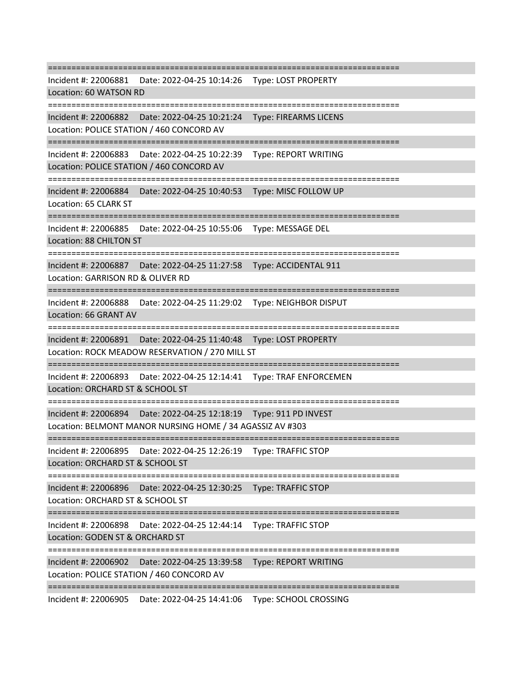=========================================================================== Incident #: 22006881 Date: 2022-04-25 10:14:26 Type: LOST PROPERTY Location: 60 WATSON RD =========================================================================== Incident #: 22006882 Date: 2022-04-25 10:21:24 Type: FIREARMS LICENS Location: POLICE STATION / 460 CONCORD AV =========================================================================== Incident #: 22006883 Date: 2022-04-25 10:22:39 Type: REPORT WRITING Location: POLICE STATION / 460 CONCORD AV =========================================================================== Incident #: 22006884 Date: 2022-04-25 10:40:53 Type: MISC FOLLOW UP Location: 65 CLARK ST =========================================================================== Incident #: 22006885 Date: 2022-04-25 10:55:06 Type: MESSAGE DEL Location: 88 CHILTON ST =========================================================================== Incident #: 22006887 Date: 2022-04-25 11:27:58 Type: ACCIDENTAL 911 Location: GARRISON RD & OLIVER RD =========================================================================== Incident #: 22006888 Date: 2022-04-25 11:29:02 Type: NEIGHBOR DISPUT Location: 66 GRANT AV =========================================================================== Incident #: 22006891 Date: 2022-04-25 11:40:48 Type: LOST PROPERTY Location: ROCK MEADOW RESERVATION / 270 MILL ST =========================================================================== Incident #: 22006893 Date: 2022-04-25 12:14:41 Type: TRAF ENFORCEMEN Location: ORCHARD ST & SCHOOL ST =========================================================================== Incident #: 22006894 Date: 2022-04-25 12:18:19 Type: 911 PD INVEST Location: BELMONT MANOR NURSING HOME / 34 AGASSIZ AV #303 =========================================================================== Incident #: 22006895 Date: 2022-04-25 12:26:19 Type: TRAFFIC STOP Location: ORCHARD ST & SCHOOL ST =========================================================================== Incident #: 22006896 Date: 2022-04-25 12:30:25 Type: TRAFFIC STOP Location: ORCHARD ST & SCHOOL ST =========================================================================== Incident #: 22006898 Date: 2022-04-25 12:44:14 Type: TRAFFIC STOP Location: GODEN ST & ORCHARD ST =========================================================================== Incident #: 22006902 Date: 2022-04-25 13:39:58 Type: REPORT WRITING Location: POLICE STATION / 460 CONCORD AV ===========================================================================

Incident #: 22006905 Date: 2022-04-25 14:41:06 Type: SCHOOL CROSSING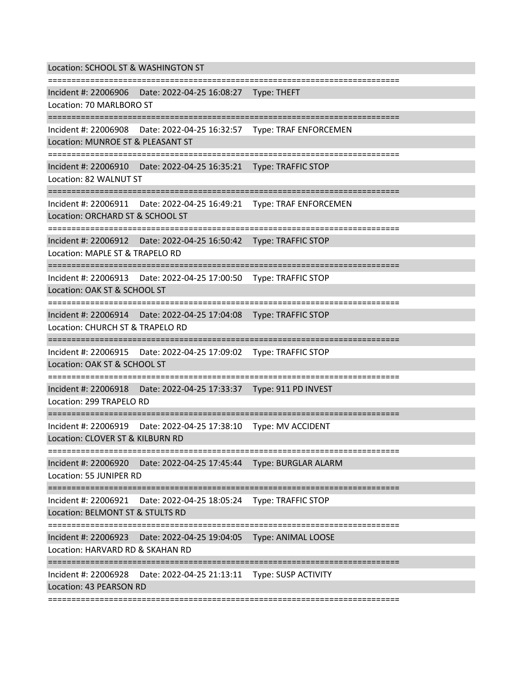Location: SCHOOL ST & WASHINGTON ST

=========================================================================== Incident #: 22006906 Date: 2022-04-25 16:08:27 Type: THEFT

Location: 70 MARLBORO ST

===========================================================================

Incident #: 22006908 Date: 2022-04-25 16:32:57 Type: TRAF ENFORCEMEN

Location: MUNROE ST & PLEASANT ST

===========================================================================

Incident #: 22006910 Date: 2022-04-25 16:35:21 Type: TRAFFIC STOP

Location: 82 WALNUT ST

===========================================================================

Incident #: 22006911 Date: 2022-04-25 16:49:21 Type: TRAF ENFORCEMEN

Location: ORCHARD ST & SCHOOL ST

===========================================================================

Incident #: 22006912 Date: 2022-04-25 16:50:42 Type: TRAFFIC STOP

Location: MAPLE ST & TRAPELO RD

===========================================================================

Incident #: 22006913 Date: 2022-04-25 17:00:50 Type: TRAFFIC STOP

Location: OAK ST & SCHOOL ST

===========================================================================

Incident #: 22006914 Date: 2022-04-25 17:04:08 Type: TRAFFIC STOP

Location: CHURCH ST & TRAPELO RD

===========================================================================

Incident #: 22006915 Date: 2022-04-25 17:09:02 Type: TRAFFIC STOP

Location: OAK ST & SCHOOL ST

=============================

Incident #: 22006918 Date: 2022-04-25 17:33:37 Type: 911 PD INVEST

Location: 299 TRAPELO RD

===========================================================================

Incident #: 22006919 Date: 2022-04-25 17:38:10 Type: MV ACCIDENT

Location: CLOVER ST & KILBURN RD

===========================================================================

Incident #: 22006920 Date: 2022-04-25 17:45:44 Type: BURGLAR ALARM

Location: 55 JUNIPER RD

===========================================================================

Incident #: 22006921 Date: 2022-04-25 18:05:24 Type: TRAFFIC STOP

Location: BELMONT ST & STULTS RD

===========================================================================

Incident #: 22006923 Date: 2022-04-25 19:04:05 Type: ANIMAL LOOSE

Location: HARVARD RD & SKAHAN RD

===========================================================================

Incident #: 22006928 Date: 2022-04-25 21:13:11 Type: SUSP ACTIVITY

Location: 43 PEARSON RD

===========================================================================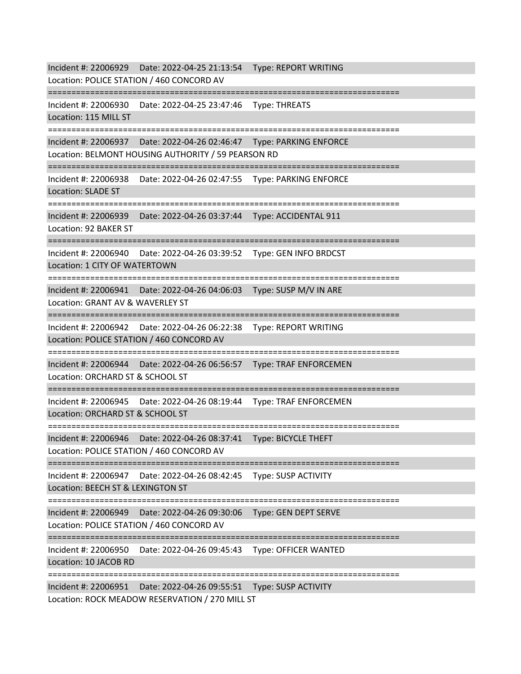Incident #: 22006929 Date: 2022-04-25 21:13:54 Type: REPORT WRITING Location: POLICE STATION / 460 CONCORD AV =========================================================================== Incident #: 22006930 Date: 2022-04-25 23:47:46 Type: THREATS Location: 115 MILL ST =========================================================================== Incident #: 22006937 Date: 2022-04-26 02:46:47 Type: PARKING ENFORCE Location: BELMONT HOUSING AUTHORITY / 59 PEARSON RD =========================================================================== Incident #: 22006938 Date: 2022-04-26 02:47:55 Type: PARKING ENFORCE Location: SLADE ST =========================================================================== Incident #: 22006939 Date: 2022-04-26 03:37:44 Type: ACCIDENTAL 911 Location: 92 BAKER ST =========================================================================== Incident #: 22006940 Date: 2022-04-26 03:39:52 Type: GEN INFO BRDCST Location: 1 CITY OF WATERTOWN =========================================================================== Incident #: 22006941 Date: 2022-04-26 04:06:03 Type: SUSP M/V IN ARE Location: GRANT AV & WAVERLEY ST =========================================================================== Incident #: 22006942 Date: 2022-04-26 06:22:38 Type: REPORT WRITING Location: POLICE STATION / 460 CONCORD AV =========================================================================== Incident #: 22006944 Date: 2022-04-26 06:56:57 Type: TRAF ENFORCEMEN Location: ORCHARD ST & SCHOOL ST =========================================================================== Incident #: 22006945 Date: 2022-04-26 08:19:44 Type: TRAF ENFORCEMEN Location: ORCHARD ST & SCHOOL ST =========================================================================== Incident #: 22006946 Date: 2022-04-26 08:37:41 Type: BICYCLE THEFT Location: POLICE STATION / 460 CONCORD AV =========================================================================== Incident #: 22006947 Date: 2022-04-26 08:42:45 Type: SUSP ACTIVITY Location: BEECH ST & LEXINGTON ST =========================================================================== Incident #: 22006949 Date: 2022-04-26 09:30:06 Type: GEN DEPT SERVE Location: POLICE STATION / 460 CONCORD AV =========================================================================== Incident #: 22006950 Date: 2022-04-26 09:45:43 Type: OFFICER WANTED Location: 10 JACOB RD =========================================================================== Incident #: 22006951 Date: 2022-04-26 09:55:51 Type: SUSP ACTIVITY Location: ROCK MEADOW RESERVATION / 270 MILL ST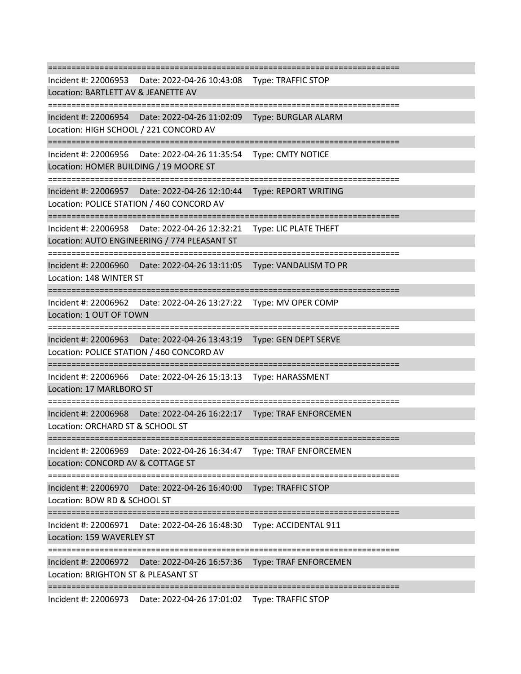=========================================================================== Incident #: 22006953 Date: 2022-04-26 10:43:08 Type: TRAFFIC STOP Location: BARTLETT AV & JEANETTE AV =========================================================================== Incident #: 22006954 Date: 2022-04-26 11:02:09 Type: BURGLAR ALARM Location: HIGH SCHOOL / 221 CONCORD AV =========================================================================== Incident #: 22006956 Date: 2022-04-26 11:35:54 Type: CMTY NOTICE Location: HOMER BUILDING / 19 MOORE ST =========================================================================== Incident #: 22006957 Date: 2022-04-26 12:10:44 Type: REPORT WRITING Location: POLICE STATION / 460 CONCORD AV =========================================================================== Incident #: 22006958 Date: 2022-04-26 12:32:21 Type: LIC PLATE THEFT Location: AUTO ENGINEERING / 774 PLEASANT ST =========================================================================== Incident #: 22006960 Date: 2022-04-26 13:11:05 Type: VANDALISM TO PR Location: 148 WINTER ST =========================================================================== Incident #: 22006962 Date: 2022-04-26 13:27:22 Type: MV OPER COMP Location: 1 OUT OF TOWN =========================================================================== Incident #: 22006963 Date: 2022-04-26 13:43:19 Type: GEN DEPT SERVE Location: POLICE STATION / 460 CONCORD AV =========================================================================== Incident #: 22006966 Date: 2022-04-26 15:13:13 Type: HARASSMENT Location: 17 MARLBORO ST =========================================================================== Incident #: 22006968 Date: 2022-04-26 16:22:17 Type: TRAF ENFORCEMEN Location: ORCHARD ST & SCHOOL ST =========================================================================== Incident #: 22006969 Date: 2022-04-26 16:34:47 Type: TRAF ENFORCEMEN Location: CONCORD AV & COTTAGE ST =========================================================================== Incident #: 22006970 Date: 2022-04-26 16:40:00 Type: TRAFFIC STOP Location: BOW RD & SCHOOL ST =========================================================================== Incident #: 22006971 Date: 2022-04-26 16:48:30 Type: ACCIDENTAL 911 Location: 159 WAVERLEY ST =================== Incident #: 22006972 Date: 2022-04-26 16:57:36 Type: TRAF ENFORCEMEN Location: BRIGHTON ST & PLEASANT ST =========================================================================== Incident #: 22006973 Date: 2022-04-26 17:01:02 Type: TRAFFIC STOP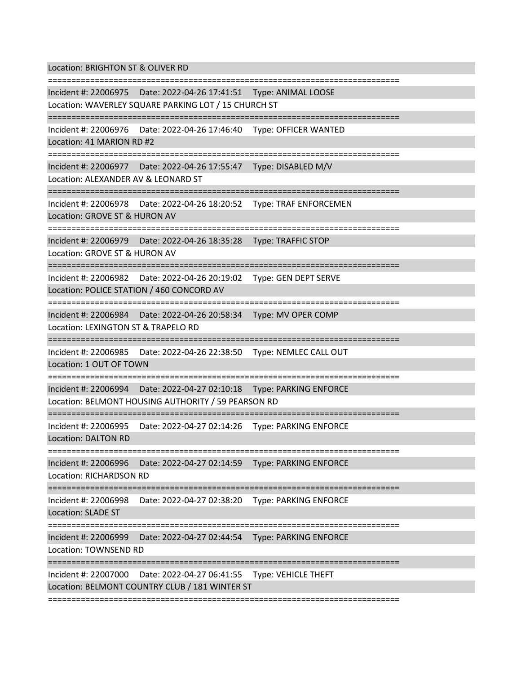Location: BRIGHTON ST & OLIVER RD

=========================================================================== Incident #: 22006975 Date: 2022-04-26 17:41:51 Type: ANIMAL LOOSE Location: WAVERLEY SQUARE PARKING LOT / 15 CHURCH ST =========================================================================== Incident #: 22006976 Date: 2022-04-26 17:46:40 Type: OFFICER WANTED Location: 41 MARION RD #2 =========================================================================== Incident #: 22006977 Date: 2022-04-26 17:55:47 Type: DISABLED M/V Location: ALEXANDER AV & LEONARD ST =========================================================================== Incident #: 22006978 Date: 2022-04-26 18:20:52 Type: TRAF ENFORCEMEN Location: GROVE ST & HURON AV =========================================================================== Incident #: 22006979 Date: 2022-04-26 18:35:28 Type: TRAFFIC STOP Location: GROVE ST & HURON AV =========================================================================== Incident #: 22006982 Date: 2022-04-26 20:19:02 Type: GEN DEPT SERVE Location: POLICE STATION / 460 CONCORD AV =========================================================================== Incident #: 22006984 Date: 2022-04-26 20:58:34 Type: MV OPER COMP Location: LEXINGTON ST & TRAPELO RD =========================================================================== Incident #: 22006985 Date: 2022-04-26 22:38:50 Type: NEMLEC CALL OUT Location: 1 OUT OF TOWN ============================ Incident #: 22006994 Date: 2022-04-27 02:10:18 Type: PARKING ENFORCE Location: BELMONT HOUSING AUTHORITY / 59 PEARSON RD =========================================================================== Incident #: 22006995 Date: 2022-04-27 02:14:26 Type: PARKING ENFORCE Location: DALTON RD =========================================================================== Incident #: 22006996 Date: 2022-04-27 02:14:59 Type: PARKING ENFORCE Location: RICHARDSON RD =========================================================================== Incident #: 22006998 Date: 2022-04-27 02:38:20 Type: PARKING ENFORCE Location: SLADE ST =========================================================================== Incident #: 22006999 Date: 2022-04-27 02:44:54 Type: PARKING ENFORCE Location: TOWNSEND RD =========================================================================== Incident #: 22007000 Date: 2022-04-27 06:41:55 Type: VEHICLE THEFT Location: BELMONT COUNTRY CLUB / 181 WINTER ST ===========================================================================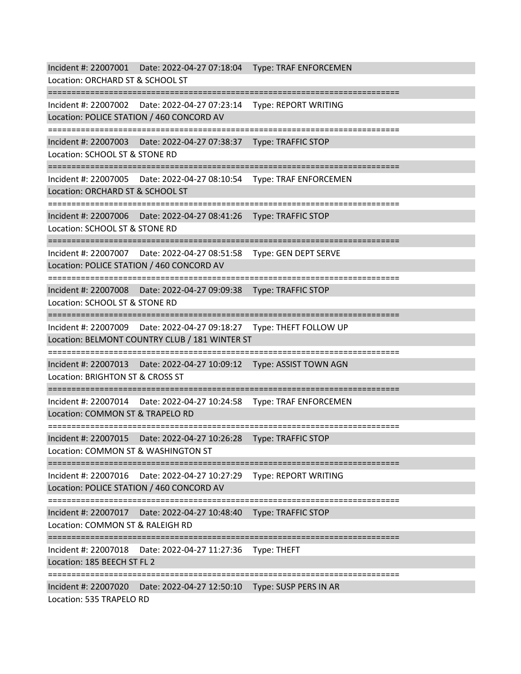Incident #: 22007001 Date: 2022-04-27 07:18:04 Type: TRAF ENFORCEMEN Location: ORCHARD ST & SCHOOL ST =========================================================================== Incident #: 22007002 Date: 2022-04-27 07:23:14 Type: REPORT WRITING Location: POLICE STATION / 460 CONCORD AV =========================================================================== Incident #: 22007003 Date: 2022-04-27 07:38:37 Type: TRAFFIC STOP Location: SCHOOL ST & STONE RD =========================================================================== Incident #: 22007005 Date: 2022-04-27 08:10:54 Type: TRAF ENFORCEMEN Location: ORCHARD ST & SCHOOL ST =========================================================================== Incident #: 22007006 Date: 2022-04-27 08:41:26 Type: TRAFFIC STOP Location: SCHOOL ST & STONE RD =========================================================================== Incident #: 22007007 Date: 2022-04-27 08:51:58 Type: GEN DEPT SERVE Location: POLICE STATION / 460 CONCORD AV =========================================================================== Incident #: 22007008 Date: 2022-04-27 09:09:38 Type: TRAFFIC STOP Location: SCHOOL ST & STONE RD =========================================================================== Incident #: 22007009 Date: 2022-04-27 09:18:27 Type: THEFT FOLLOW UP Location: BELMONT COUNTRY CLUB / 181 WINTER ST =========================================================================== Incident #: 22007013 Date: 2022-04-27 10:09:12 Type: ASSIST TOWN AGN Location: BRIGHTON ST & CROSS ST =========================================================================== Incident #: 22007014 Date: 2022-04-27 10:24:58 Type: TRAF ENFORCEMEN Location: COMMON ST & TRAPELO RD =========================================================================== Incident #: 22007015 Date: 2022-04-27 10:26:28 Type: TRAFFIC STOP Location: COMMON ST & WASHINGTON ST =========================================================================== Incident #: 22007016 Date: 2022-04-27 10:27:29 Type: REPORT WRITING Location: POLICE STATION / 460 CONCORD AV =========================================================================== Incident #: 22007017 Date: 2022-04-27 10:48:40 Type: TRAFFIC STOP Location: COMMON ST & RALEIGH RD =========================================================================== Incident #: 22007018 Date: 2022-04-27 11:27:36 Type: THEFT Location: 185 BEECH ST FL 2 =========================================================================== Incident #: 22007020 Date: 2022-04-27 12:50:10 Type: SUSP PERS IN AR Location: 535 TRAPELO RD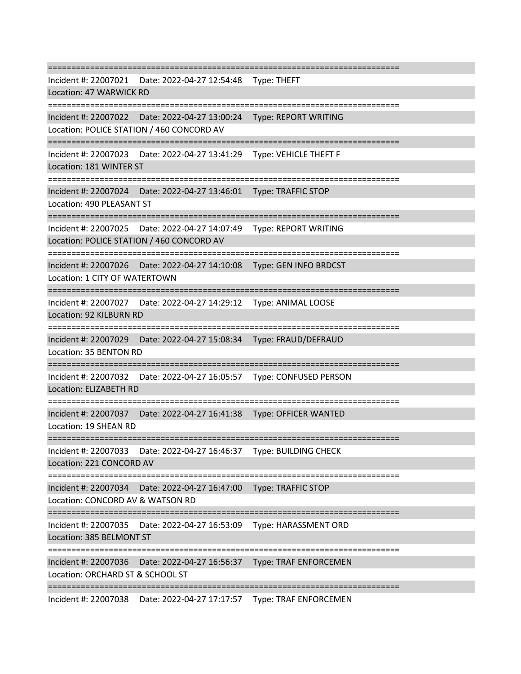=========================================================================== Incident #: 22007021 Date: 2022-04-27 12:54:48 Type: THEFT Location: 47 WARWICK RD =========================================================================== Incident #: 22007022 Date: 2022-04-27 13:00:24 Type: REPORT WRITING Location: POLICE STATION / 460 CONCORD AV =========================================================================== Incident #: 22007023 Date: 2022-04-27 13:41:29 Type: VEHICLE THEFT F Location: 181 WINTER ST =========================================================================== Incident #: 22007024 Date: 2022-04-27 13:46:01 Type: TRAFFIC STOP Location: 490 PLEASANT ST =========================================================================== Incident #: 22007025 Date: 2022-04-27 14:07:49 Type: REPORT WRITING Location: POLICE STATION / 460 CONCORD AV =========================================================================== Incident #: 22007026 Date: 2022-04-27 14:10:08 Type: GEN INFO BRDCST Location: 1 CITY OF WATERTOWN =========================================================================== Incident #: 22007027 Date: 2022-04-27 14:29:12 Type: ANIMAL LOOSE Location: 92 KILBURN RD =========================================================================== Incident #: 22007029 Date: 2022-04-27 15:08:34 Type: FRAUD/DEFRAUD Location: 35 BENTON RD =========================================================================== Incident #: 22007032 Date: 2022-04-27 16:05:57 Type: CONFUSED PERSON Location: ELIZABETH RD =========================================================================== Incident #: 22007037 Date: 2022-04-27 16:41:38 Type: OFFICER WANTED Location: 19 SHEAN RD =========================================================================== Incident #: 22007033 Date: 2022-04-27 16:46:37 Type: BUILDING CHECK Location: 221 CONCORD AV =========================================================================== Incident #: 22007034 Date: 2022-04-27 16:47:00 Type: TRAFFIC STOP Location: CONCORD AV & WATSON RD =========================================================================== Incident #: 22007035 Date: 2022-04-27 16:53:09 Type: HARASSMENT ORD Location: 385 BELMONT ST ==================================== Incident #: 22007036 Date: 2022-04-27 16:56:37 Type: TRAF ENFORCEMEN Location: ORCHARD ST & SCHOOL ST ===========================================================================

Incident #: 22007038 Date: 2022-04-27 17:17:57 Type: TRAF ENFORCEMEN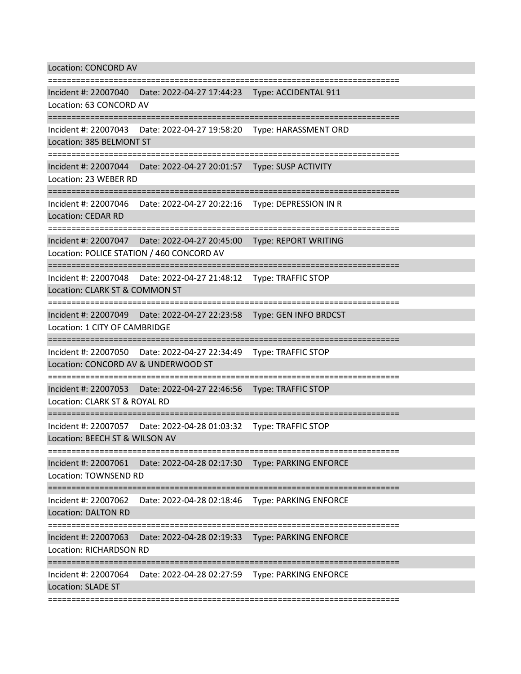Location: CONCORD AV

=========================================================================== Incident #: 22007040 Date: 2022-04-27 17:44:23 Type: ACCIDENTAL 911 Location: 63 CONCORD AV =========================================================================== Incident #: 22007043 Date: 2022-04-27 19:58:20 Type: HARASSMENT ORD Location: 385 BELMONT ST =========================================================================== Incident #: 22007044 Date: 2022-04-27 20:01:57 Type: SUSP ACTIVITY Location: 23 WEBER RD =========================================================================== Incident #: 22007046 Date: 2022-04-27 20:22:16 Type: DEPRESSION IN R Location: CEDAR RD =========================================================================== Incident #: 22007047 Date: 2022-04-27 20:45:00 Type: REPORT WRITING Location: POLICE STATION / 460 CONCORD AV =========================================================================== Incident #: 22007048 Date: 2022-04-27 21:48:12 Type: TRAFFIC STOP Location: CLARK ST & COMMON ST =========================================================================== Incident #: 22007049 Date: 2022-04-27 22:23:58 Type: GEN INFO BRDCST Location: 1 CITY OF CAMBRIDGE =========================================================================== Incident #: 22007050 Date: 2022-04-27 22:34:49 Type: TRAFFIC STOP Location: CONCORD AV & UNDERWOOD ST =========================================================================== Incident #: 22007053 Date: 2022-04-27 22:46:56 Type: TRAFFIC STOP Location: CLARK ST & ROYAL RD =========================================================================== Incident #: 22007057 Date: 2022-04-28 01:03:32 Type: TRAFFIC STOP Location: BEECH ST & WILSON AV =========================================================================== Incident #: 22007061 Date: 2022-04-28 02:17:30 Type: PARKING ENFORCE Location: TOWNSEND RD =========================================================================== Incident #: 22007062 Date: 2022-04-28 02:18:46 Type: PARKING ENFORCE Location: DALTON RD =========================================================================== Incident #: 22007063 Date: 2022-04-28 02:19:33 Type: PARKING ENFORCE Location: RICHARDSON RD =========================================================================== Incident #: 22007064 Date: 2022-04-28 02:27:59 Type: PARKING ENFORCE Location: SLADE ST ===========================================================================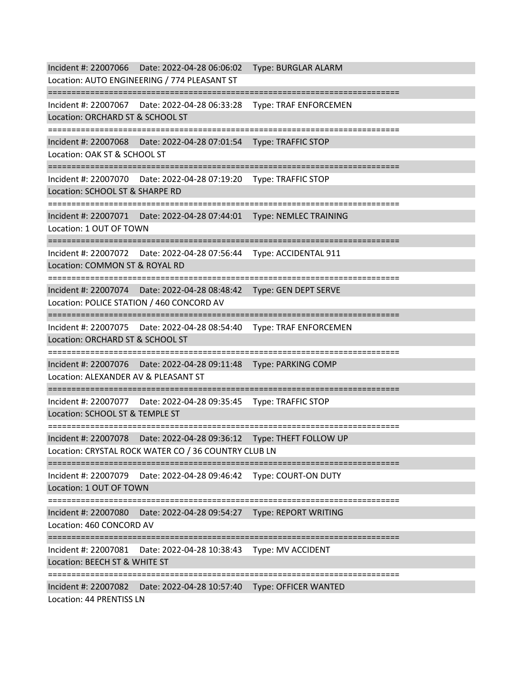Incident #: 22007066 Date: 2022-04-28 06:06:02 Type: BURGLAR ALARM Location: AUTO ENGINEERING / 774 PLEASANT ST =========================================================================== Incident #: 22007067 Date: 2022-04-28 06:33:28 Type: TRAF ENFORCEMEN Location: ORCHARD ST & SCHOOL ST =========================================================================== Incident #: 22007068 Date: 2022-04-28 07:01:54 Type: TRAFFIC STOP Location: OAK ST & SCHOOL ST =========================================================================== Incident #: 22007070 Date: 2022-04-28 07:19:20 Type: TRAFFIC STOP Location: SCHOOL ST & SHARPE RD =========================================================================== Incident #: 22007071 Date: 2022-04-28 07:44:01 Type: NEMLEC TRAINING Location: 1 OUT OF TOWN =========================================================================== Incident #: 22007072 Date: 2022-04-28 07:56:44 Type: ACCIDENTAL 911 Location: COMMON ST & ROYAL RD =========================================================================== Incident #: 22007074 Date: 2022-04-28 08:48:42 Type: GEN DEPT SERVE Location: POLICE STATION / 460 CONCORD AV =========================================================================== Incident #: 22007075 Date: 2022-04-28 08:54:40 Type: TRAF ENFORCEMEN Location: ORCHARD ST & SCHOOL ST =========================================================================== Incident #: 22007076 Date: 2022-04-28 09:11:48 Type: PARKING COMP Location: ALEXANDER AV & PLEASANT ST =========================================================================== Incident #: 22007077 Date: 2022-04-28 09:35:45 Type: TRAFFIC STOP Location: SCHOOL ST & TEMPLE ST =========================================================================== Incident #: 22007078 Date: 2022-04-28 09:36:12 Type: THEFT FOLLOW UP Location: CRYSTAL ROCK WATER CO / 36 COUNTRY CLUB LN =========================================================================== Incident #: 22007079 Date: 2022-04-28 09:46:42 Type: COURT-ON DUTY Location: 1 OUT OF TOWN =========================================================================== Incident #: 22007080 Date: 2022-04-28 09:54:27 Type: REPORT WRITING Location: 460 CONCORD AV =========================================================================== Incident #: 22007081 Date: 2022-04-28 10:38:43 Type: MV ACCIDENT Location: BEECH ST & WHITE ST =========================================================================== Incident #: 22007082 Date: 2022-04-28 10:57:40 Type: OFFICER WANTED Location: 44 PRENTISS LN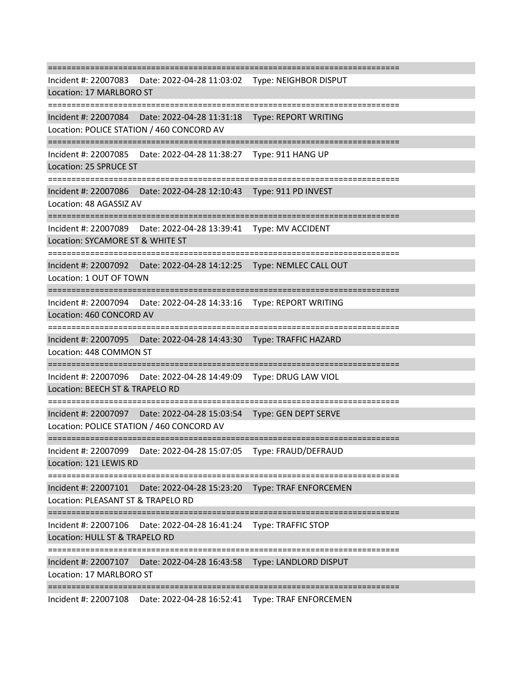=========================================================================== Incident #: 22007083 Date: 2022-04-28 11:03:02 Type: NEIGHBOR DISPUT Location: 17 MARLBORO ST =========================================================================== Incident #: 22007084 Date: 2022-04-28 11:31:18 Type: REPORT WRITING Location: POLICE STATION / 460 CONCORD AV =========================================================================== Incident #: 22007085 Date: 2022-04-28 11:38:27 Type: 911 HANG UP Location: 25 SPRUCE ST =========================================================================== Incident #: 22007086 Date: 2022-04-28 12:10:43 Type: 911 PD INVEST Location: 48 AGASSIZ AV =========================================================================== Incident #: 22007089 Date: 2022-04-28 13:39:41 Type: MV ACCIDENT Location: SYCAMORE ST & WHITE ST =========================================================================== Incident #: 22007092 Date: 2022-04-28 14:12:25 Type: NEMLEC CALL OUT Location: 1 OUT OF TOWN =========================================================================== Incident #: 22007094 Date: 2022-04-28 14:33:16 Type: REPORT WRITING Location: 460 CONCORD AV =========================================================================== Incident #: 22007095 Date: 2022-04-28 14:43:30 Type: TRAFFIC HAZARD Location: 448 COMMON ST =========================================================================== Incident #: 22007096 Date: 2022-04-28 14:49:09 Type: DRUG LAW VIOL Location: BEECH ST & TRAPELO RD =========================================================================== Incident #: 22007097 Date: 2022-04-28 15:03:54 Type: GEN DEPT SERVE Location: POLICE STATION / 460 CONCORD AV =========================================================================== Incident #: 22007099 Date: 2022-04-28 15:07:05 Type: FRAUD/DEFRAUD Location: 121 LEWIS RD =========================================================================== Incident #: 22007101 Date: 2022-04-28 15:23:20 Type: TRAF ENFORCEMEN Location: PLEASANT ST & TRAPELO RD =========================================================================== Incident #: 22007106 Date: 2022-04-28 16:41:24 Type: TRAFFIC STOP Location: HULL ST & TRAPELO RD =========================================================================== Incident #: 22007107 Date: 2022-04-28 16:43:58 Type: LANDLORD DISPUT Location: 17 MARLBORO ST ===========================================================================

Incident #: 22007108 Date: 2022-04-28 16:52:41 Type: TRAF ENFORCEMEN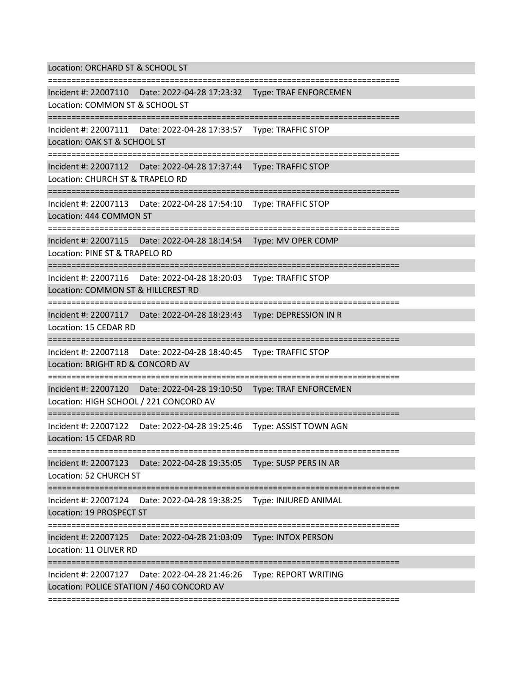Location: ORCHARD ST & SCHOOL ST ===========================================================================

Incident #: 22007110 Date: 2022-04-28 17:23:32 Type: TRAF ENFORCEMEN

Location: COMMON ST & SCHOOL ST

===========================================================================

Incident #: 22007111 Date: 2022-04-28 17:33:57 Type: TRAFFIC STOP

Location: OAK ST & SCHOOL ST

===========================================================================

Incident #: 22007112 Date: 2022-04-28 17:37:44 Type: TRAFFIC STOP

Location: CHURCH ST & TRAPELO RD

===========================================================================

Incident #: 22007113 Date: 2022-04-28 17:54:10 Type: TRAFFIC STOP Location: 444 COMMON ST

===========================================================================

Incident #: 22007115 Date: 2022-04-28 18:14:54 Type: MV OPER COMP

Location: PINE ST & TRAPELO RD

===========================================================================

Incident #: 22007116 Date: 2022-04-28 18:20:03 Type: TRAFFIC STOP

Location: COMMON ST & HILLCREST RD

===========================================================================

Incident #: 22007117 Date: 2022-04-28 18:23:43 Type: DEPRESSION IN R

Location: 15 CEDAR RD

===========================================================================

Incident #: 22007118 Date: 2022-04-28 18:40:45 Type: TRAFFIC STOP

Location: BRIGHT RD & CONCORD AV

===========================================================================

Incident #: 22007120 Date: 2022-04-28 19:10:50 Type: TRAF ENFORCEMEN

Location: HIGH SCHOOL / 221 CONCORD AV

===========================================================================

Incident #: 22007122 Date: 2022-04-28 19:25:46 Type: ASSIST TOWN AGN

Location: 15 CEDAR RD

===========================================================================

Incident #: 22007123 Date: 2022-04-28 19:35:05 Type: SUSP PERS IN AR

Location: 52 CHURCH ST

===========================================================================

Incident #: 22007124 Date: 2022-04-28 19:38:25 Type: INJURED ANIMAL

Location: 19 PROSPECT ST

===========================================================================

Incident #: 22007125 Date: 2022-04-28 21:03:09 Type: INTOX PERSON

Location: 11 OLIVER RD

===========================================================================

Incident #: 22007127 Date: 2022-04-28 21:46:26 Type: REPORT WRITING

Location: POLICE STATION / 460 CONCORD AV

===========================================================================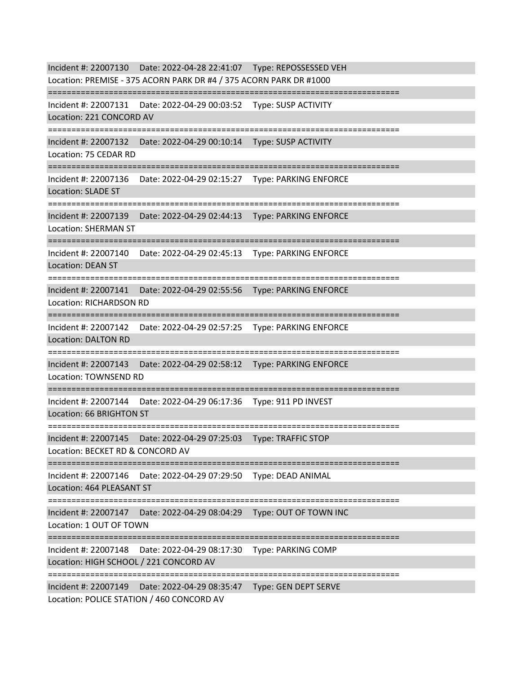Incident #: 22007130 Date: 2022-04-28 22:41:07 Type: REPOSSESSED VEH Location: PREMISE - 375 ACORN PARK DR #4 / 375 ACORN PARK DR #1000 =========================================================================== Incident #: 22007131 Date: 2022-04-29 00:03:52 Type: SUSP ACTIVITY Location: 221 CONCORD AV =========================================================================== Incident #: 22007132 Date: 2022-04-29 00:10:14 Type: SUSP ACTIVITY Location: 75 CEDAR RD =========================================================================== Incident #: 22007136 Date: 2022-04-29 02:15:27 Type: PARKING ENFORCE Location: SLADE ST =========================================================================== Incident #: 22007139 Date: 2022-04-29 02:44:13 Type: PARKING ENFORCE Location: SHERMAN ST =========================================================================== Incident #: 22007140 Date: 2022-04-29 02:45:13 Type: PARKING ENFORCE Location: DEAN ST =========================================================================== Incident #: 22007141 Date: 2022-04-29 02:55:56 Type: PARKING ENFORCE Location: RICHARDSON RD =========================================================================== Incident #: 22007142 Date: 2022-04-29 02:57:25 Type: PARKING ENFORCE Location: DALTON RD =========================================================================== Incident #: 22007143 Date: 2022-04-29 02:58:12 Type: PARKING ENFORCE Location: TOWNSEND RD =========================================================================== Incident #: 22007144 Date: 2022-04-29 06:17:36 Type: 911 PD INVEST Location: 66 BRIGHTON ST =========================================================================== Incident #: 22007145 Date: 2022-04-29 07:25:03 Type: TRAFFIC STOP Location: BECKET RD & CONCORD AV =========================================================================== Incident #: 22007146 Date: 2022-04-29 07:29:50 Type: DEAD ANIMAL Location: 464 PLEASANT ST =========================================================================== Incident #: 22007147 Date: 2022-04-29 08:04:29 Type: OUT OF TOWN INC Location: 1 OUT OF TOWN =========================================================================== Incident #: 22007148 Date: 2022-04-29 08:17:30 Type: PARKING COMP Location: HIGH SCHOOL / 221 CONCORD AV =========================================================================== Incident #: 22007149 Date: 2022-04-29 08:35:47 Type: GEN DEPT SERVE Location: POLICE STATION / 460 CONCORD AV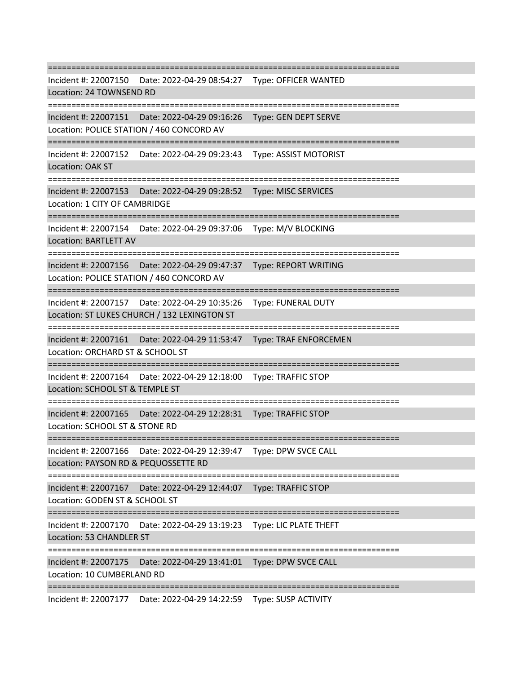=========================================================================== Incident #: 22007150 Date: 2022-04-29 08:54:27 Type: OFFICER WANTED Location: 24 TOWNSEND RD =========================================================================== Incident #: 22007151 Date: 2022-04-29 09:16:26 Type: GEN DEPT SERVE Location: POLICE STATION / 460 CONCORD AV =========================================================================== Incident #: 22007152 Date: 2022-04-29 09:23:43 Type: ASSIST MOTORIST Location: OAK ST =========================================================================== Incident #: 22007153 Date: 2022-04-29 09:28:52 Type: MISC SERVICES Location: 1 CITY OF CAMBRIDGE =========================================================================== Incident #: 22007154 Date: 2022-04-29 09:37:06 Type: M/V BLOCKING Location: BARTLETT AV =========================================================================== Incident #: 22007156 Date: 2022-04-29 09:47:37 Type: REPORT WRITING Location: POLICE STATION / 460 CONCORD AV =========================================================================== Incident #: 22007157 Date: 2022-04-29 10:35:26 Type: FUNERAL DUTY Location: ST LUKES CHURCH / 132 LEXINGTON ST =========================================================================== Incident #: 22007161 Date: 2022-04-29 11:53:47 Type: TRAF ENFORCEMEN Location: ORCHARD ST & SCHOOL ST =========================================================================== Incident #: 22007164 Date: 2022-04-29 12:18:00 Type: TRAFFIC STOP Location: SCHOOL ST & TEMPLE ST =========================================================================== Incident #: 22007165 Date: 2022-04-29 12:28:31 Type: TRAFFIC STOP Location: SCHOOL ST & STONE RD =========================================================================== Incident #: 22007166 Date: 2022-04-29 12:39:47 Type: DPW SVCE CALL Location: PAYSON RD & PEQUOSSETTE RD =========================================================================== Incident #: 22007167 Date: 2022-04-29 12:44:07 Type: TRAFFIC STOP Location: GODEN ST & SCHOOL ST =========================================================================== Incident #: 22007170 Date: 2022-04-29 13:19:23 Type: LIC PLATE THEFT Location: 53 CHANDLER ST ==================================== Incident #: 22007175 Date: 2022-04-29 13:41:01 Type: DPW SVCE CALL Location: 10 CUMBERLAND RD ===========================================================================

Incident #: 22007177 Date: 2022-04-29 14:22:59 Type: SUSP ACTIVITY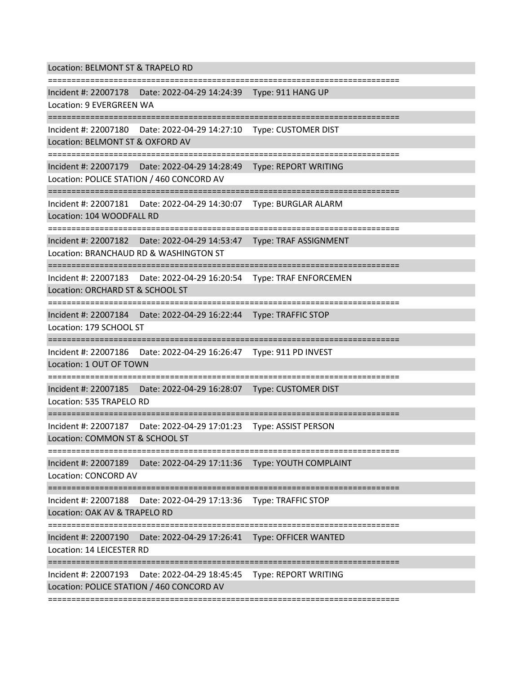Location: BELMONT ST & TRAPELO RD

=========================================================================== Incident #: 22007178 Date: 2022-04-29 14:24:39 Type: 911 HANG UP Location: 9 EVERGREEN WA =========================================================================== Incident #: 22007180 Date: 2022-04-29 14:27:10 Type: CUSTOMER DIST Location: BELMONT ST & OXFORD AV =========================================================================== Incident #: 22007179 Date: 2022-04-29 14:28:49 Type: REPORT WRITING Location: POLICE STATION / 460 CONCORD AV =========================================================================== Incident #: 22007181 Date: 2022-04-29 14:30:07 Type: BURGLAR ALARM Location: 104 WOODFALL RD =========================================================================== Incident #: 22007182 Date: 2022-04-29 14:53:47 Type: TRAF ASSIGNMENT Location: BRANCHAUD RD & WASHINGTON ST =========================================================================== Incident #: 22007183 Date: 2022-04-29 16:20:54 Type: TRAF ENFORCEMEN Location: ORCHARD ST & SCHOOL ST =========================================================================== Incident #: 22007184 Date: 2022-04-29 16:22:44 Type: TRAFFIC STOP Location: 179 SCHOOL ST =========================================================================== Incident #: 22007186 Date: 2022-04-29 16:26:47 Type: 911 PD INVEST Location: 1 OUT OF TOWN =========================================================================== Incident #: 22007185 Date: 2022-04-29 16:28:07 Type: CUSTOMER DIST Location: 535 TRAPELO RD =========================================================================== Incident #: 22007187 Date: 2022-04-29 17:01:23 Type: ASSIST PERSON Location: COMMON ST & SCHOOL ST =========================================================================== Incident #: 22007189 Date: 2022-04-29 17:11:36 Type: YOUTH COMPLAINT Location: CONCORD AV =========================================================================== Incident #: 22007188 Date: 2022-04-29 17:13:36 Type: TRAFFIC STOP Location: OAK AV & TRAPELO RD =========================================================================== Incident #: 22007190 Date: 2022-04-29 17:26:41 Type: OFFICER WANTED Location: 14 LEICESTER RD =========================================================================== Incident #: 22007193 Date: 2022-04-29 18:45:45 Type: REPORT WRITING Location: POLICE STATION / 460 CONCORD AV

===========================================================================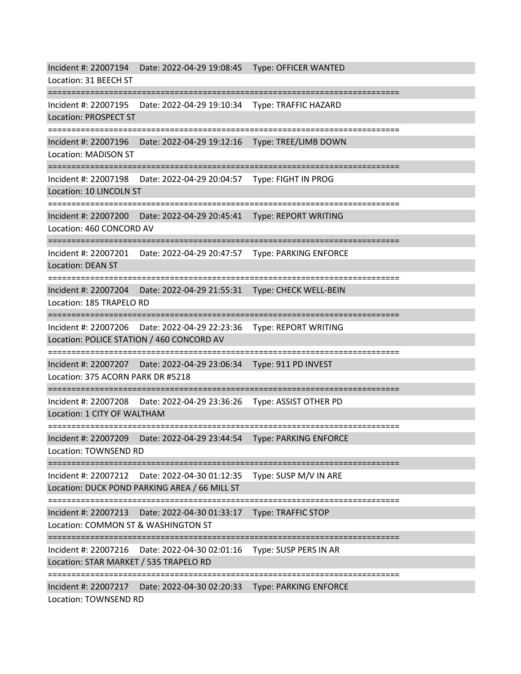Incident #: 22007194 Date: 2022-04-29 19:08:45 Type: OFFICER WANTED Location: 31 BEECH ST =========================================================================== Incident #: 22007195 Date: 2022-04-29 19:10:34 Type: TRAFFIC HAZARD Location: PROSPECT ST =========================================================================== Incident #: 22007196 Date: 2022-04-29 19:12:16 Type: TREE/LIMB DOWN Location: MADISON ST =========================================================================== Incident #: 22007198 Date: 2022-04-29 20:04:57 Type: FIGHT IN PROG Location: 10 LINCOLN ST =========================================================================== Incident #: 22007200 Date: 2022-04-29 20:45:41 Type: REPORT WRITING Location: 460 CONCORD AV =========================================================================== Incident #: 22007201 Date: 2022-04-29 20:47:57 Type: PARKING ENFORCE Location: DEAN ST =========================================================================== Incident #: 22007204 Date: 2022-04-29 21:55:31 Type: CHECK WELL-BEIN Location: 185 TRAPELO RD =========================================================================== Incident #: 22007206 Date: 2022-04-29 22:23:36 Type: REPORT WRITING Location: POLICE STATION / 460 CONCORD AV =========================================================================== Incident #: 22007207 Date: 2022-04-29 23:06:34 Type: 911 PD INVEST Location: 375 ACORN PARK DR #5218 =========================================================================== Incident #: 22007208 Date: 2022-04-29 23:36:26 Type: ASSIST OTHER PD Location: 1 CITY OF WALTHAM **===================** Incident #: 22007209 Date: 2022-04-29 23:44:54 Type: PARKING ENFORCE Location: TOWNSEND RD =========================================================================== Incident #: 22007212 Date: 2022-04-30 01:12:35 Type: SUSP M/V IN ARE Location: DUCK POND PARKING AREA / 66 MILL ST =========================================================================== Incident #: 22007213 Date: 2022-04-30 01:33:17 Type: TRAFFIC STOP Location: COMMON ST & WASHINGTON ST =========================================================================== Incident #: 22007216 Date: 2022-04-30 02:01:16 Type: SUSP PERS IN AR Location: STAR MARKET / 535 TRAPELO RD =========================================================================== Incident #: 22007217 Date: 2022-04-30 02:20:33 Type: PARKING ENFORCE

Location: TOWNSEND RD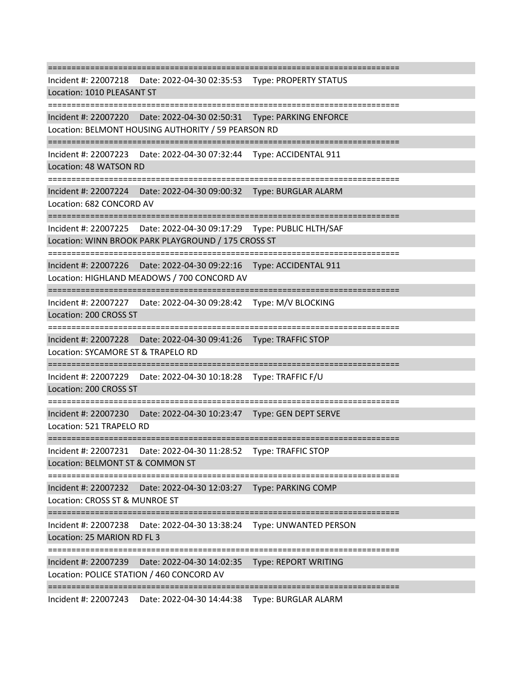=========================================================================== Incident #: 22007218 Date: 2022-04-30 02:35:53 Type: PROPERTY STATUS Location: 1010 PLEASANT ST =========================================================================== Incident #: 22007220 Date: 2022-04-30 02:50:31 Type: PARKING ENFORCE Location: BELMONT HOUSING AUTHORITY / 59 PEARSON RD =========================================================================== Incident #: 22007223 Date: 2022-04-30 07:32:44 Type: ACCIDENTAL 911 Location: 48 WATSON RD =========================================================================== Incident #: 22007224 Date: 2022-04-30 09:00:32 Type: BURGLAR ALARM Location: 682 CONCORD AV =========================================================================== Incident #: 22007225 Date: 2022-04-30 09:17:29 Type: PUBLIC HLTH/SAF Location: WINN BROOK PARK PLAYGROUND / 175 CROSS ST =========================================================================== Incident #: 22007226 Date: 2022-04-30 09:22:16 Type: ACCIDENTAL 911 Location: HIGHLAND MEADOWS / 700 CONCORD AV =========================================================================== Incident #: 22007227 Date: 2022-04-30 09:28:42 Type: M/V BLOCKING Location: 200 CROSS ST =========================================================================== Incident #: 22007228 Date: 2022-04-30 09:41:26 Type: TRAFFIC STOP Location: SYCAMORE ST & TRAPELO RD =========================================================================== Incident #: 22007229 Date: 2022-04-30 10:18:28 Type: TRAFFIC F/U Location: 200 CROSS ST =========================================================================== Incident #: 22007230 Date: 2022-04-30 10:23:47 Type: GEN DEPT SERVE Location: 521 TRAPELO RD =========================================================================== Incident #: 22007231 Date: 2022-04-30 11:28:52 Type: TRAFFIC STOP Location: BELMONT ST & COMMON ST =========================================================================== Incident #: 22007232 Date: 2022-04-30 12:03:27 Type: PARKING COMP Location: CROSS ST & MUNROE ST =========================================================================== Incident #: 22007238 Date: 2022-04-30 13:38:24 Type: UNWANTED PERSON Location: 25 MARION RD FL 3 =========================================================================== Incident #: 22007239 Date: 2022-04-30 14:02:35 Type: REPORT WRITING Location: POLICE STATION / 460 CONCORD AV ===========================================================================

Incident #: 22007243 Date: 2022-04-30 14:44:38 Type: BURGLAR ALARM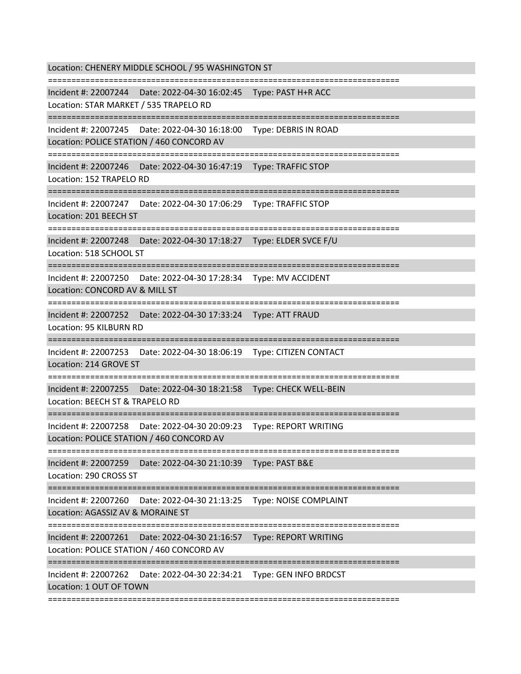Location: CHENERY MIDDLE SCHOOL / 95 WASHINGTON ST =========================================================================== Incident #: 22007244 Date: 2022-04-30 16:02:45 Type: PAST H+R ACC Location: STAR MARKET / 535 TRAPELO RD =========================================================================== Incident #: 22007245 Date: 2022-04-30 16:18:00 Type: DEBRIS IN ROAD Location: POLICE STATION / 460 CONCORD AV =========================================================================== Incident #: 22007246 Date: 2022-04-30 16:47:19 Type: TRAFFIC STOP Location: 152 TRAPELO RD =========================================================================== Incident #: 22007247 Date: 2022-04-30 17:06:29 Type: TRAFFIC STOP Location: 201 BEECH ST =========================================================================== Incident #: 22007248 Date: 2022-04-30 17:18:27 Type: ELDER SVCE F/U Location: 518 SCHOOL ST =========================================================================== Incident #: 22007250 Date: 2022-04-30 17:28:34 Type: MV ACCIDENT Location: CONCORD AV & MILL ST =========================================================================== Incident #: 22007252 Date: 2022-04-30 17:33:24 Type: ATT FRAUD Location: 95 KILBURN RD =========================================================================== Incident #: 22007253 Date: 2022-04-30 18:06:19 Type: CITIZEN CONTACT Location: 214 GROVE ST =========================================================================== Incident #: 22007255 Date: 2022-04-30 18:21:58 Type: CHECK WELL-BEIN Location: BEECH ST & TRAPELO RD =========================================================================== Incident #: 22007258 Date: 2022-04-30 20:09:23 Type: REPORT WRITING Location: POLICE STATION / 460 CONCORD AV =========================================================================== Incident #: 22007259 Date: 2022-04-30 21:10:39 Type: PAST B&E Location: 290 CROSS ST =========================================================================== Incident #: 22007260 Date: 2022-04-30 21:13:25 Type: NOISE COMPLAINT Location: AGASSIZ AV & MORAINE ST =========================================================================== Incident #: 22007261 Date: 2022-04-30 21:16:57 Type: REPORT WRITING Location: POLICE STATION / 460 CONCORD AV =========================================================================== Incident #: 22007262 Date: 2022-04-30 22:34:21 Type: GEN INFO BRDCST Location: 1 OUT OF TOWN ===========================================================================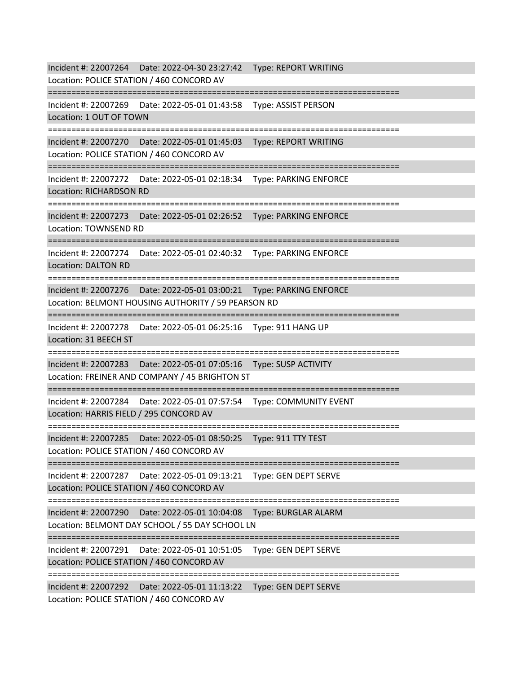Incident #: 22007264 Date: 2022-04-30 23:27:42 Type: REPORT WRITING Location: POLICE STATION / 460 CONCORD AV =========================================================================== Incident #: 22007269 Date: 2022-05-01 01:43:58 Type: ASSIST PERSON Location: 1 OUT OF TOWN =========================================================================== Incident #: 22007270 Date: 2022-05-01 01:45:03 Type: REPORT WRITING Location: POLICE STATION / 460 CONCORD AV =========================================================================== Incident #: 22007272 Date: 2022-05-01 02:18:34 Type: PARKING ENFORCE Location: RICHARDSON RD =========================================================================== Incident #: 22007273 Date: 2022-05-01 02:26:52 Type: PARKING ENFORCE Location: TOWNSEND RD =========================================================================== Incident #: 22007274 Date: 2022-05-01 02:40:32 Type: PARKING ENFORCE Location: DALTON RD =========================================================================== Incident #: 22007276 Date: 2022-05-01 03:00:21 Type: PARKING ENFORCE Location: BELMONT HOUSING AUTHORITY / 59 PEARSON RD =========================================================================== Incident #: 22007278 Date: 2022-05-01 06:25:16 Type: 911 HANG UP Location: 31 BEECH ST =========================================================================== Incident #: 22007283 Date: 2022-05-01 07:05:16 Type: SUSP ACTIVITY Location: FREINER AND COMPANY / 45 BRIGHTON ST =========================================================================== Incident #: 22007284 Date: 2022-05-01 07:57:54 Type: COMMUNITY EVENT Location: HARRIS FIELD / 295 CONCORD AV =========================================================================== Incident #: 22007285 Date: 2022-05-01 08:50:25 Type: 911 TTY TEST Location: POLICE STATION / 460 CONCORD AV =========================================================================== Incident #: 22007287 Date: 2022-05-01 09:13:21 Type: GEN DEPT SERVE Location: POLICE STATION / 460 CONCORD AV =========================================================================== Incident #: 22007290 Date: 2022-05-01 10:04:08 Type: BURGLAR ALARM Location: BELMONT DAY SCHOOL / 55 DAY SCHOOL LN =========================================================================== Incident #: 22007291 Date: 2022-05-01 10:51:05 Type: GEN DEPT SERVE Location: POLICE STATION / 460 CONCORD AV =========================================================================== Incident #: 22007292 Date: 2022-05-01 11:13:22 Type: GEN DEPT SERVE Location: POLICE STATION / 460 CONCORD AV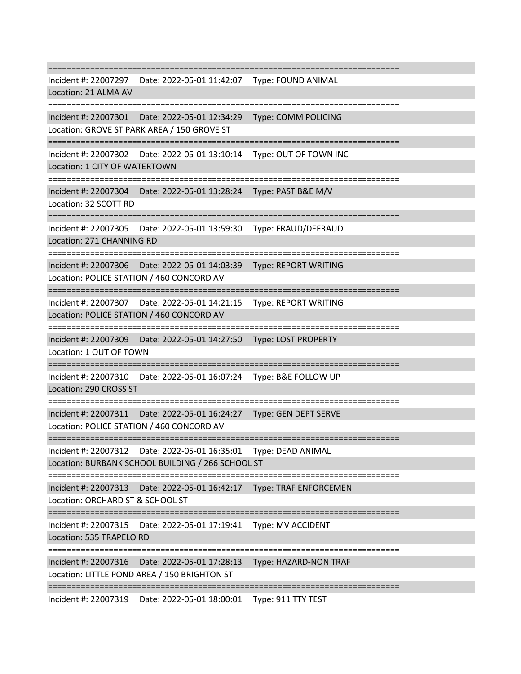=========================================================================== Incident #: 22007297 Date: 2022-05-01 11:42:07 Type: FOUND ANIMAL Location: 21 ALMA AV =========================================================================== Incident #: 22007301 Date: 2022-05-01 12:34:29 Type: COMM POLICING Location: GROVE ST PARK AREA / 150 GROVE ST =========================================================================== Incident #: 22007302 Date: 2022-05-01 13:10:14 Type: OUT OF TOWN INC Location: 1 CITY OF WATERTOWN =========================================================================== Incident #: 22007304 Date: 2022-05-01 13:28:24 Type: PAST B&E M/V Location: 32 SCOTT RD =========================================================================== Incident #: 22007305 Date: 2022-05-01 13:59:30 Type: FRAUD/DEFRAUD Location: 271 CHANNING RD =========================================================================== Incident #: 22007306 Date: 2022-05-01 14:03:39 Type: REPORT WRITING Location: POLICE STATION / 460 CONCORD AV =========================================================================== Incident #: 22007307 Date: 2022-05-01 14:21:15 Type: REPORT WRITING Location: POLICE STATION / 460 CONCORD AV =========================================================================== Incident #: 22007309 Date: 2022-05-01 14:27:50 Type: LOST PROPERTY Location: 1 OUT OF TOWN =========================================================================== Incident #: 22007310 Date: 2022-05-01 16:07:24 Type: B&E FOLLOW UP Location: 290 CROSS ST =========================================================================== Incident #: 22007311 Date: 2022-05-01 16:24:27 Type: GEN DEPT SERVE Location: POLICE STATION / 460 CONCORD AV =========================================================================== Incident #: 22007312 Date: 2022-05-01 16:35:01 Type: DEAD ANIMAL Location: BURBANK SCHOOL BUILDING / 266 SCHOOL ST =========================================================================== Incident #: 22007313 Date: 2022-05-01 16:42:17 Type: TRAF ENFORCEMEN Location: ORCHARD ST & SCHOOL ST =========================================================================== Incident #: 22007315 Date: 2022-05-01 17:19:41 Type: MV ACCIDENT Location: 535 TRAPELO RD =========================================================================== Incident #: 22007316 Date: 2022-05-01 17:28:13 Type: HAZARD-NON TRAF Location: LITTLE POND AREA / 150 BRIGHTON ST ===========================================================================

Incident #: 22007319 Date: 2022-05-01 18:00:01 Type: 911 TTY TEST